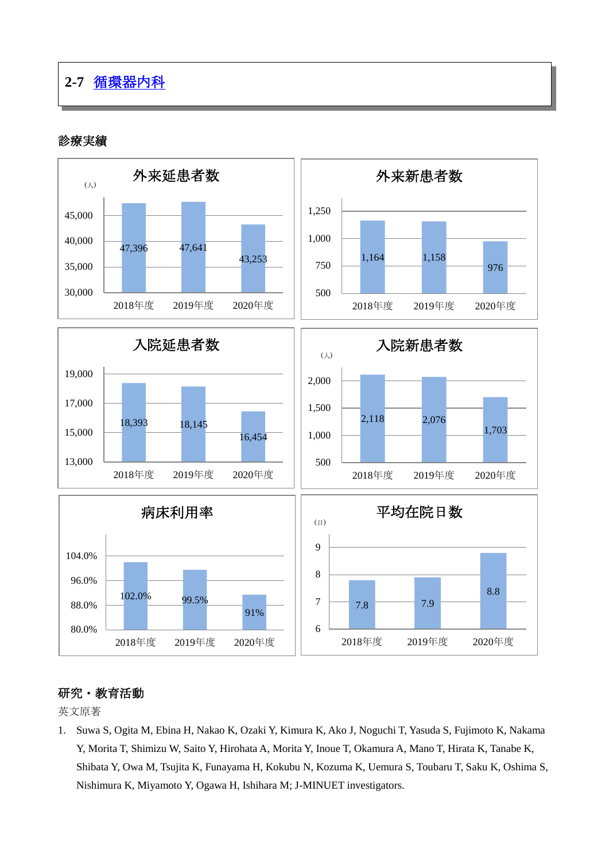## **2-7** [循環器内科](http://www.hosp-shizuoka.juntendo.ac.jp/consult/departments/circulation.html)

## 診療実績



## 研究・教育活動

英文原著

1. Suwa S, Ogita M, Ebina H, Nakao K, Ozaki Y, Kimura K, Ako J, Noguchi T, Yasuda S, Fujimoto K, Nakama Y, Morita T, Shimizu W, Saito Y, Hirohata A, Morita Y, Inoue T, Okamura A, Mano T, Hirata K, Tanabe K, Shibata Y, Owa M, Tsujita K, Funayama H, Kokubu N, Kozuma K, Uemura S, Toubaru T, Saku K, Oshima S, Nishimura K, Miyamoto Y, Ogawa H, Ishihara M; J-MINUET investigators.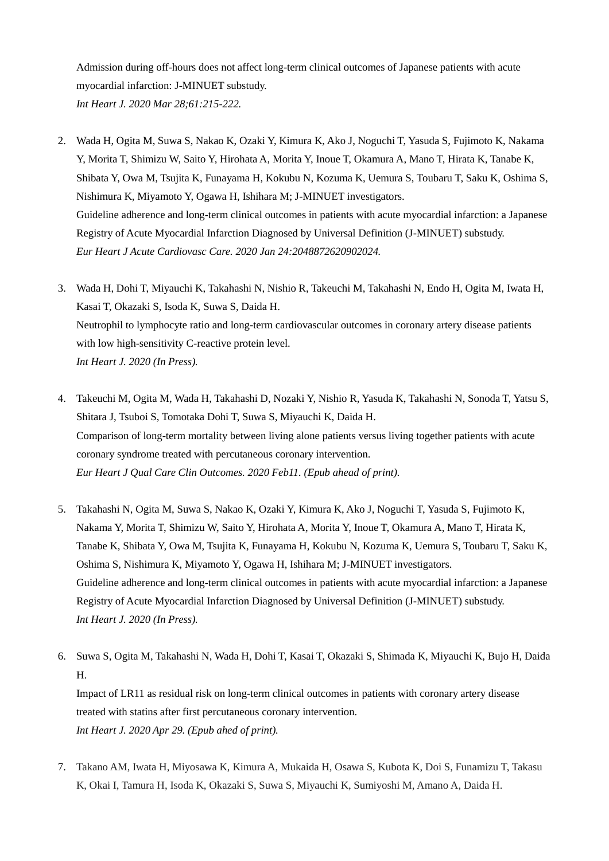Admission during off-hours does not affect long-term clinical outcomes of Japanese patients with acute myocardial infarction: J-MINUET substudy. *Int Heart J. 2020 Mar 28;61:215-222.* 

- 2. Wada H, Ogita M, Suwa S, Nakao K, Ozaki Y, Kimura K, Ako J, Noguchi T, Yasuda S, Fujimoto K, Nakama Y, Morita T, Shimizu W, Saito Y, Hirohata A, Morita Y, Inoue T, Okamura A, Mano T, Hirata K, Tanabe K, Shibata Y, Owa M, Tsujita K, Funayama H, Kokubu N, Kozuma K, Uemura S, Toubaru T, Saku K, Oshima S, Nishimura K, Miyamoto Y, Ogawa H, Ishihara M; J-MINUET investigators. Guideline adherence and long-term clinical outcomes in patients with acute myocardial infarction: a Japanese Registry of Acute Myocardial Infarction Diagnosed by Universal Definition (J-MINUET) substudy. *Eur Heart J Acute Cardiovasc Care. 2020 Jan 24:2048872620902024.*
- 3. Wada H, Dohi T, Miyauchi K, Takahashi N, Nishio R, Takeuchi M, Takahashi N, Endo H, Ogita M, Iwata H, Kasai T, Okazaki S, Isoda K, Suwa S, Daida H. Neutrophil to lymphocyte ratio and long-term cardiovascular outcomes in coronary artery disease patients with low high-sensitivity C-reactive protein level. *Int Heart J. 2020 (In Press).*
- 4. Takeuchi M, Ogita M, Wada H, Takahashi D, Nozaki Y, Nishio R, Yasuda K, Takahashi N, Sonoda T, Yatsu S, Shitara J, Tsuboi S, Tomotaka Dohi T, Suwa S, Miyauchi K, Daida H. Comparison of long-term mortality between living alone patients versus living together patients with acute coronary syndrome treated with percutaneous coronary intervention. *Eur Heart J Qual Care Clin Outcomes. 2020 Feb11. (Epub ahead of print).*
- 5. Takahashi N, Ogita M, Suwa S, Nakao K, Ozaki Y, Kimura K, Ako J, Noguchi T, Yasuda S, Fujimoto K, Nakama Y, Morita T, Shimizu W, Saito Y, Hirohata A, Morita Y, Inoue T, Okamura A, Mano T, Hirata K, Tanabe K, Shibata Y, Owa M, Tsujita K, Funayama H, Kokubu N, Kozuma K, Uemura S, Toubaru T, Saku K, Oshima S, Nishimura K, Miyamoto Y, Ogawa H, Ishihara M; J-MINUET investigators. Guideline adherence and long-term clinical outcomes in patients with acute myocardial infarction: a Japanese Registry of Acute Myocardial Infarction Diagnosed by Universal Definition (J-MINUET) substudy. *Int Heart J. 2020 (In Press).*
- 6. Suwa S, Ogita M, Takahashi N, Wada H, Dohi T, Kasai T, Okazaki S, Shimada K, Miyauchi K, Bujo H, Daida H. Impact of LR11 as residual risk on long-term clinical outcomes in patients with coronary artery disease treated with statins after first percutaneous coronary intervention. *Int Heart J. 2020 Apr 29. (Epub ahed of print).*
- 7. Takano AM, Iwata H, Miyosawa K, Kimura A, Mukaida H, Osawa S, Kubota K, Doi S, Funamizu T, Takasu K, Okai I, Tamura H, Isoda K, Okazaki S, Suwa S, Miyauchi K, Sumiyoshi M, Amano A, Daida H.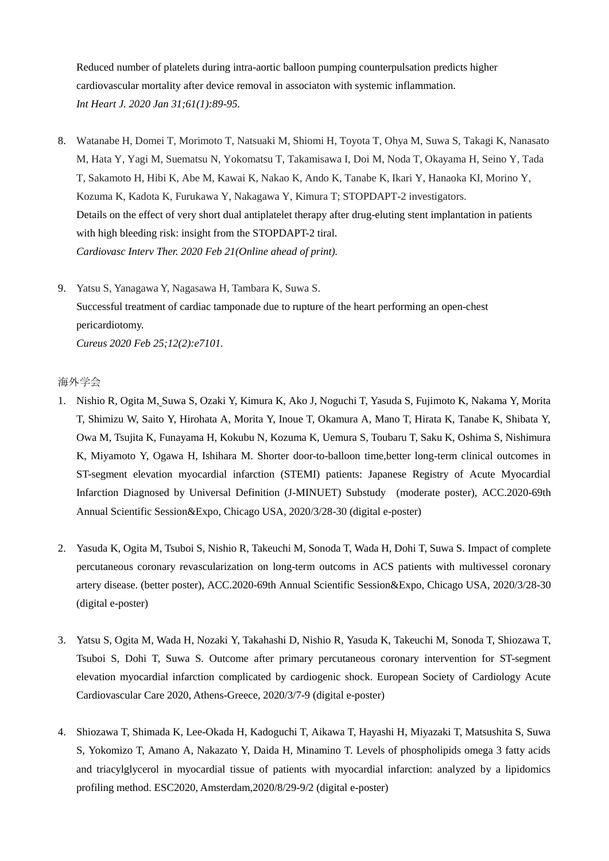Reduced number of platelets during intra-aortic balloon pumping counterpulsation predicts higher cardiovascular mortality after device removal in associaton with systemic inflammation. *Int Heart J. 2020 Jan 31;61(1):89-95.* 

- 8. Watanabe H, Domei T, Morimoto T, Natsuaki M, Shiomi H, Toyota T, Ohya M, Suwa S, Takagi K, Nanasato M, Hata Y, Yagi M, Suematsu N, Yokomatsu T, Takamisawa I, Doi M, Noda T, Okayama H, Seino Y, Tada T, Sakamoto H, Hibi K, Abe M, Kawai K, Nakao K, Ando K, Tanabe K, Ikari Y, Hanaoka KI, Morino Y, Kozuma K, Kadota K, Furukawa Y, Nakagawa Y, Kimura T; STOPDAPT-2 investigators. Details on the effect of very short dual antiplatelet therapy after drug-eluting stent implantation in patients with high bleeding risk: insight from the STOPDAPT-2 tiral. *Cardiovasc Interv Ther. 2020 Feb 21(Online ahead of print).*
- 9. Yatsu S, Yanagawa Y, Nagasawa H, Tambara K, Suwa S. Successful treatment of cardiac tamponade due to rupture of the heart performing an open-chest pericardiotomy. *Cureus 2020 Feb 25;12(2):e7101.*

## 海外学会

- 1. Nishio R, Ogita M, Suwa S, Ozaki Y, Kimura K, Ako J, Noguchi T, Yasuda S, Fujimoto K, Nakama Y, Morita T, Shimizu W, Saito Y, Hirohata A, Morita Y, Inoue T, Okamura A, Mano T, Hirata K, Tanabe K, Shibata Y, Owa M, Tsujita K, Funayama H, Kokubu N, Kozuma K, Uemura S, Toubaru T, Saku K, Oshima S, Nishimura K, Miyamoto Y, Ogawa H, Ishihara M. Shorter door-to-balloon time,better long-term clinical outcomes in ST-segment elevation myocardial infarction (STEMI) patients: Japanese Registry of Acute Myocardial Infarction Diagnosed by Universal Definition (J-MINUET) Substudy (moderate poster), ACC.2020-69th Annual Scientific Session&Expo, Chicago USA, 2020/3/28-30 (digital e-poster)
- 2. Yasuda K, Ogita M, Tsuboi S, Nishio R, Takeuchi M, Sonoda T, Wada H, Dohi T, Suwa S. Impact of complete percutaneous coronary revascularization on long-term outcoms in ACS patients with multivessel coronary artery disease. (better poster), ACC.2020-69th Annual Scientific Session&Expo, Chicago USA, 2020/3/28-30 (digital e-poster)
- 3. Yatsu S, Ogita M, Wada H, Nozaki Y, Takahashi D, Nishio R, Yasuda K, Takeuchi M, Sonoda T, Shiozawa T, Tsuboi S, Dohi T, Suwa S. Outcome after primary percutaneous coronary intervention for ST-segment elevation myocardial infarction complicated by cardiogenic shock. European Society of Cardiology Acute Cardiovascular Care 2020, Athens-Greece, 2020/3/7-9 (digital e-poster)
- 4. Shiozawa T, Shimada K, Lee-Okada H, Kadoguchi T, Aikawa T, Hayashi H, Miyazaki T, Matsushita S, Suwa S, Yokomizo T, Amano A, Nakazato Y, Daida H, Minamino T. Levels of phospholipids omega 3 fatty acids and triacylglycerol in myocardial tissue of patients with myocardial infarction: analyzed by a lipidomics profiling method. ESC2020, Amsterdam,2020/8/29-9/2 (digital e-poster)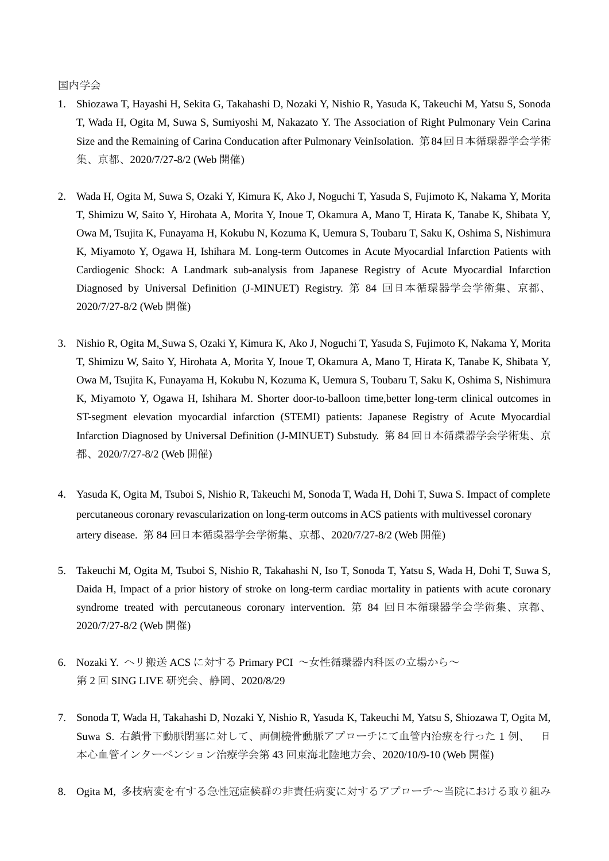国内学会

- 1. Shiozawa T, Hayashi H, Sekita G, Takahashi D, Nozaki Y, Nishio R, Yasuda K, Takeuchi M, Yatsu S, Sonoda T, Wada H, Ogita M, Suwa S, Sumiyoshi M, Nakazato Y. The Association of Right Pulmonary Vein Carina Size and the Remaining of Carina Conducation after Pulmonary VeinIsolation. 第84回日本循環器学会学術 集、京都、2020/7/27-8/2 (Web 開催)
- 2. Wada H, Ogita M, Suwa S, Ozaki Y, Kimura K, Ako J, Noguchi T, Yasuda S, Fujimoto K, Nakama Y, Morita T, Shimizu W, Saito Y, Hirohata A, Morita Y, Inoue T, Okamura A, Mano T, Hirata K, Tanabe K, Shibata Y, Owa M, Tsujita K, Funayama H, Kokubu N, Kozuma K, Uemura S, Toubaru T, Saku K, Oshima S, Nishimura K, Miyamoto Y, Ogawa H, Ishihara M. Long-term Outcomes in Acute Myocardial Infarction Patients with Cardiogenic Shock: A Landmark sub-analysis from Japanese Registry of Acute Myocardial Infarction Diagnosed by Universal Definition (J-MINUET) Registry. 第 84 回日本循環器学会学術集、京都、 2020/7/27-8/2 (Web 開催)
- 3. Nishio R, Ogita M, Suwa S, Ozaki Y, Kimura K, Ako J, Noguchi T, Yasuda S, Fujimoto K, Nakama Y, Morita T, Shimizu W, Saito Y, Hirohata A, Morita Y, Inoue T, Okamura A, Mano T, Hirata K, Tanabe K, Shibata Y, Owa M, Tsujita K, Funayama H, Kokubu N, Kozuma K, Uemura S, Toubaru T, Saku K, Oshima S, Nishimura K, Miyamoto Y, Ogawa H, Ishihara M. Shorter door-to-balloon time,better long-term clinical outcomes in ST-segment elevation myocardial infarction (STEMI) patients: Japanese Registry of Acute Myocardial Infarction Diagnosed by Universal Definition (J-MINUET) Substudy. 第 84 回日本循環器学会学術集、京 都、2020/7/27-8/2 (Web 開催)
- 4. Yasuda K, Ogita M, Tsuboi S, Nishio R, Takeuchi M, Sonoda T, Wada H, Dohi T, Suwa S. Impact of complete percutaneous coronary revascularization on long-term outcoms in ACS patients with multivessel coronary artery disease. 第 84 回日本循環器学会学術集、京都、2020/7/27-8/2 (Web 開催)
- 5. Takeuchi M, Ogita M, Tsuboi S, Nishio R, Takahashi N, Iso T, Sonoda T, Yatsu S, Wada H, Dohi T, Suwa S, Daida H, Impact of a prior history of stroke on long-term cardiac mortality in patients with acute coronary syndrome treated with percutaneous coronary intervention. 第 84 回日本循環器学会学術集、京都、 2020/7/27-8/2 (Web 開催)
- 6. Nozaki Y. ヘリ搬送 ACS に対する Primary PCI ~女性循環器内科医の立場から~ 第 2 回 SING LIVE 研究会、静岡、2020/8/29
- 7. Sonoda T, Wada H, Takahashi D, Nozaki Y, Nishio R, Yasuda K, Takeuchi M, Yatsu S, Shiozawa T, Ogita M, Suwa S. 右鎖骨下動脈閉塞に対して、両側橈骨動脈アプローチにて血管内治療を行った 1 例、 日 本心血管インターベンション治療学会第 43 回東海北陸地方会、2020/10/9-10 (Web 開催)
- 8. Ogita M, 多枝病変を有する急性冠症候群の非責任病変に対するアプローチ~当院における取り組み